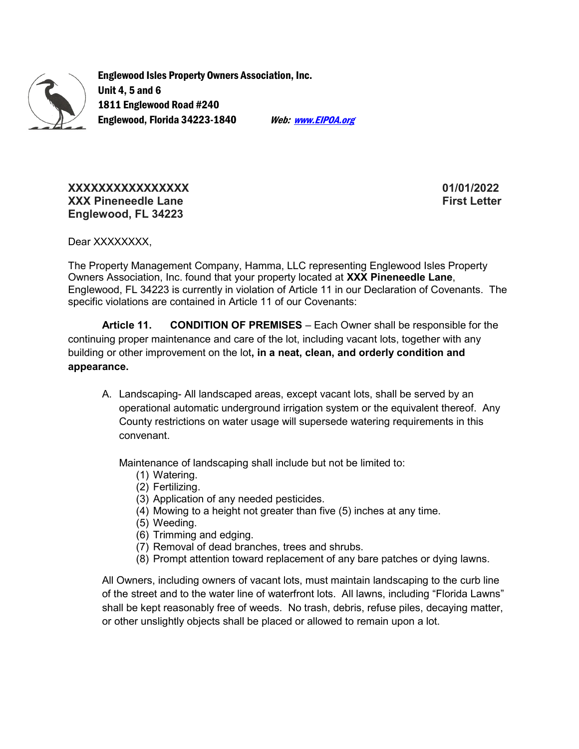

Englewood Isles Property Owners Association, Inc. Unit 4, 5 and 6 1811 Englewood Road #240 Englewood, Florida 34223-1840 Web: Web: Werk. EIPOA.org

XXXXXXXXXXXXXXXX 01/01/2022 XXX Pineneedle Lane First Letter First Letter Englewood, FL 34223

Dear XXXXXXXX.

The Property Management Company, Hamma, LLC representing Englewood Isles Property Owners Association, Inc. found that your property located at XXX Pineneedle Lane, Englewood, FL 34223 is currently in violation of Article 11 in our Declaration of Covenants. The specific violations are contained in Article 11 of our Covenants:

Article 11. CONDITION OF PREMISES – Each Owner shall be responsible for the continuing proper maintenance and care of the lot, including vacant lots, together with any building or other improvement on the lot, in a neat, clean, and orderly condition and appearance.

A. Landscaping- All landscaped areas, except vacant lots, shall be served by an operational automatic underground irrigation system or the equivalent thereof. Any County restrictions on water usage will supersede watering requirements in this convenant.

Maintenance of landscaping shall include but not be limited to:

- (1) Watering.
- (2) Fertilizing.
- (3) Application of any needed pesticides.
- (4) Mowing to a height not greater than five (5) inches at any time.
- (5) Weeding.
- (6) Trimming and edging.
- (7) Removal of dead branches, trees and shrubs.
- (8) Prompt attention toward replacement of any bare patches or dying lawns.

All Owners, including owners of vacant lots, must maintain landscaping to the curb line of the street and to the water line of waterfront lots. All lawns, including "Florida Lawns" shall be kept reasonably free of weeds. No trash, debris, refuse piles, decaying matter, or other unslightly objects shall be placed or allowed to remain upon a lot.